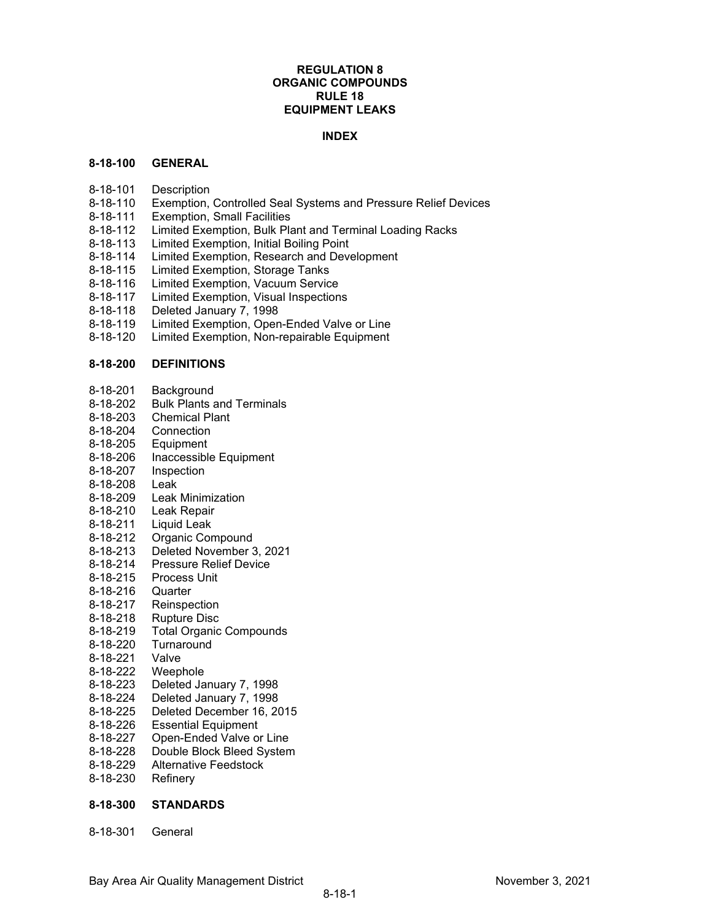# **REGULATION 8 ORGANIC COMPOUNDS RULE 18 EQUIPMENT LEAKS**

## **INDEX**

### **8-18-100 GENERAL**

- 8-18-101 Description
- 8-18-110 Exemption, Controlled Seal Systems and Pressure Relief Devices
- 8-18-111 Exemption, Small Facilities
- 8-18-112 Limited Exemption, Bulk Plant and Terminal Loading Racks
- 8-18-113 Limited Exemption, Initial Boiling Point<br>8-18-114 Limited Exemption, Research and Deve
- Limited Exemption, Research and Development
- 8-18-115 Limited Exemption, Storage Tanks
- 8-18-116 Limited Exemption, Vacuum Service<br>8-18-117 Limited Exemption, Visual Inspection
- Limited Exemption, Visual Inspections
- 8-18-118 Deleted January 7, 1998
- 8-18-119 Limited Exemption, Open-Ended Valve or Line
- 8-18-120 Limited Exemption, Non-repairable Equipment

# **8-18-200 DEFINITIONS**

- 8-18-201 Background<br>8-18-202 Bulk Plants
- **Bulk Plants and Terminals**
- 8-18-203 Chemical Plant
- 8-18-204 Connection
- 8-18-205 Equipment
- 8-18-206 Inaccessible Equipment
- 8-18-207 Inspection
- 8-18-208 Leak<br>8-18-209 Leak
- **Leak Minimization**
- 8-18-210 Leak Repair
- 8-18-211 Liquid Leak
- 8-18-212 Organic Compound
- 8-18-213 Deleted November 3, 2021
- **Pressure Relief Device**
- 8-18-215 Process Unit
- 8-18-216 Quarter
- 8-18-217 Reinspection
- 8-18-218 Rupture Disc
- 8-18-219 Total Organic Compounds
- 8-18-220 Turnaround<br>8-18-221 Valve
- 8-18-221
- 8-18-222 Weephole
- 8-18-223 Deleted January 7, 1998
- 8-18-224 Deleted January 7, 1998
- 8-18-225 Deleted December 16, 2015
- 8-18-226 Essential Equipment
- 8-18-227 Open-Ended Valve or Line<br>8-18-228 Double Block Bleed Systen
- Double Block Bleed System
- 8-18-229 Alternative Feedstock
- 8-18-230 Refinery

### **8-18-300 STANDARDS**

8-18-301 General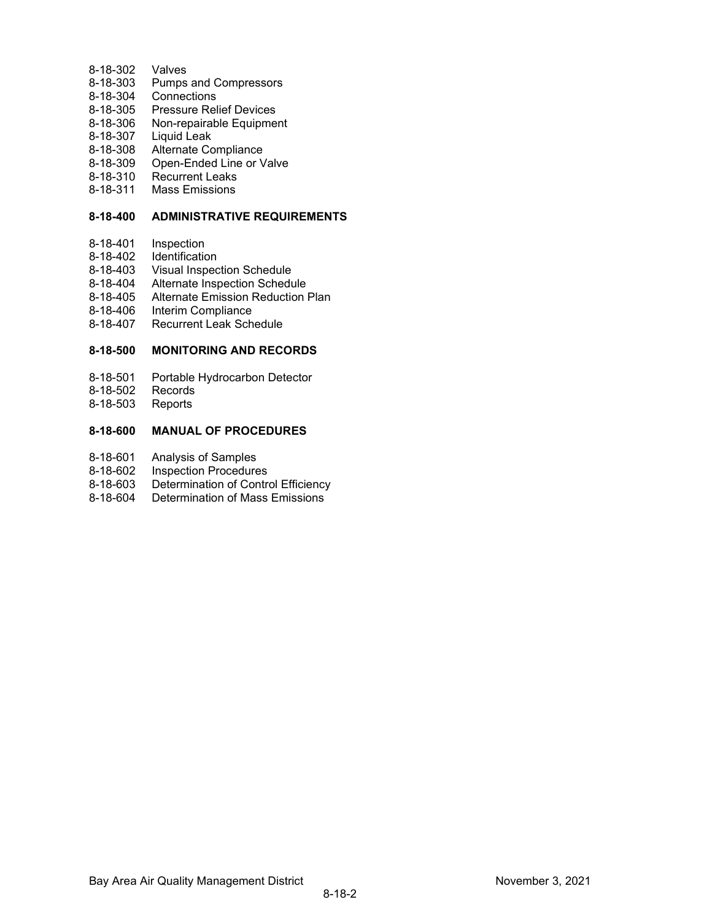- 8-18-302 Valves
- 8-18-303 Pumps and Compressors
- 8-18-304 Connections
- 8-18-305 Pressure Relief Devices
- 8-18-306 Non-repairable Equipment
- 8-18-307 Liquid Leak
- 8-18-308 Alternate Compliance
- 8-18-309 Open-Ended Line or Valve<br>8-18-310 Recurrent Leaks
- 8-18-310 Recurrent Leaks<br>8-18-311 Mass Emissions
- Mass Emissions

### **8-18-400 ADMINISTRATIVE REQUIREMENTS**

- 8-18-401 Inspection<br>8-18-402 Identification
- 8-18-402 Identification<br>8-18-403 Visual Inspec
- **Visual Inspection Schedule**
- 8-18-404 Alternate Inspection Schedule
- 8-18-405 Alternate Emission Reduction Plan
- 8-18-406 Interim Compliance
- 8-18-407 Recurrent Leak Schedule

### **8-18-500 MONITORING AND RECORDS**

- 8-18-501 Portable Hydrocarbon Detector<br>8-18-502 Records
- Records
- 8-18-503 Reports

# **8-18-600 MANUAL OF PROCEDURES**

- 8-18-601 Analysis of Samples
- 8-18-602 Inspection Procedures
- 8-18-603 Determination of Control Efficiency<br>8-18-604 Determination of Mass Emissions
- Determination of Mass Emissions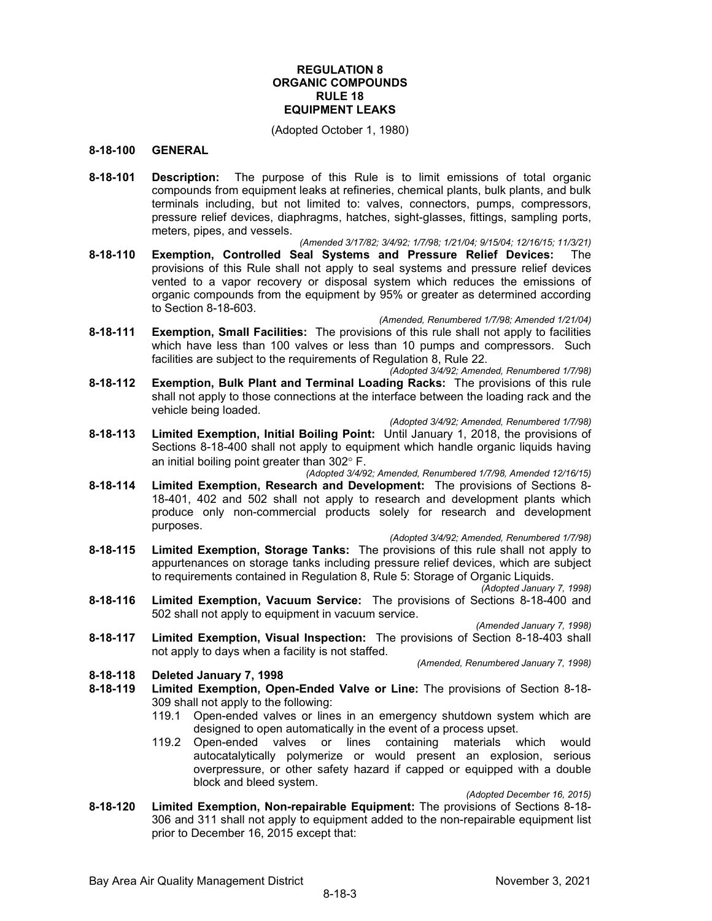# **REGULATION 8 ORGANIC COMPOUNDS RULE 18 EQUIPMENT LEAKS**

(Adopted October 1, 1980)

### **8-18-100 GENERAL**

**8-18-101 Description:** The purpose of this Rule is to limit emissions of total organic compounds from equipment leaks at refineries, chemical plants, bulk plants, and bulk terminals including, but not limited to: valves, connectors, pumps, compressors, pressure relief devices, diaphragms, hatches, sight-glasses, fittings, sampling ports, meters, pipes, and vessels.

*(Amended 3/17/82; 3/4/92; 1/7/98; 1/21/04; 9/15/04; 12/16/15; 11/3/21)*

**8-18-110 Exemption, Controlled Seal Systems and Pressure Relief Devices:** The provisions of this Rule shall not apply to seal systems and pressure relief devices vented to a vapor recovery or disposal system which reduces the emissions of organic compounds from the equipment by 95% or greater as determined according to Section 8-18-603.

*(Amended, Renumbered 1/7/98; Amended 1/21/04)*

- **8-18-111 Exemption, Small Facilities:** The provisions of this rule shall not apply to facilities which have less than 100 valves or less than 10 pumps and compressors. Such facilities are subject to the requirements of Regulation 8, Rule 22.
- *(Adopted 3/4/92; Amended, Renumbered 1/7/98)* **8-18-112 Exemption, Bulk Plant and Terminal Loading Racks:** The provisions of this rule shall not apply to those connections at the interface between the loading rack and the vehicle being loaded.

*(Adopted 3/4/92; Amended, Renumbered 1/7/98)*

- **8-18-113 Limited Exemption, Initial Boiling Point:** Until January 1, 2018, the provisions of Sections 8-18-400 shall not apply to equipment which handle organic liquids having an initial boiling point greater than 302° F.
- *(Adopted 3/4/92; Amended, Renumbered 1/7/98, Amended 12/16/15)* **8-18-114 Limited Exemption, Research and Development:** The provisions of Sections 8- 18-401, 402 and 502 shall not apply to research and development plants which produce only non-commercial products solely for research and development purposes.

*(Adopted 3/4/92; Amended, Renumbered 1/7/98)*

- **8-18-115 Limited Exemption, Storage Tanks:** The provisions of this rule shall not apply to appurtenances on storage tanks including pressure relief devices, which are subject to requirements contained in Regulation 8, Rule 5: Storage of Organic Liquids.
- *(Adopted January 7, 1998)* **8-18-116 Limited Exemption, Vacuum Service:** The provisions of Sections 8-18-400 and 502 shall not apply to equipment in vacuum service.

*(Amended January 7, 1998)*

**8-18-117 Limited Exemption, Visual Inspection:** The provisions of Section 8-18-403 shall not apply to days when a facility is not staffed.

*(Amended, Renumbered January 7, 1998)*

- **8-18-118 Deleted January 7, 1998**
- **8-18-119 Limited Exemption, Open-Ended Valve or Line:** The provisions of Section 8-18- 309 shall not apply to the following:
	- 119.1 Open-ended valves or lines in an emergency shutdown system which are designed to open automatically in the event of a process upset.
	- 119.2 Open-ended valves or lines containing materials which would autocatalytically polymerize or would present an explosion, serious overpressure, or other safety hazard if capped or equipped with a double block and bleed system.

*(Adopted December 16, 2015)*

**8-18-120 Limited Exemption, Non-repairable Equipment:** The provisions of Sections 8-18- 306 and 311 shall not apply to equipment added to the non-repairable equipment list prior to December 16, 2015 except that: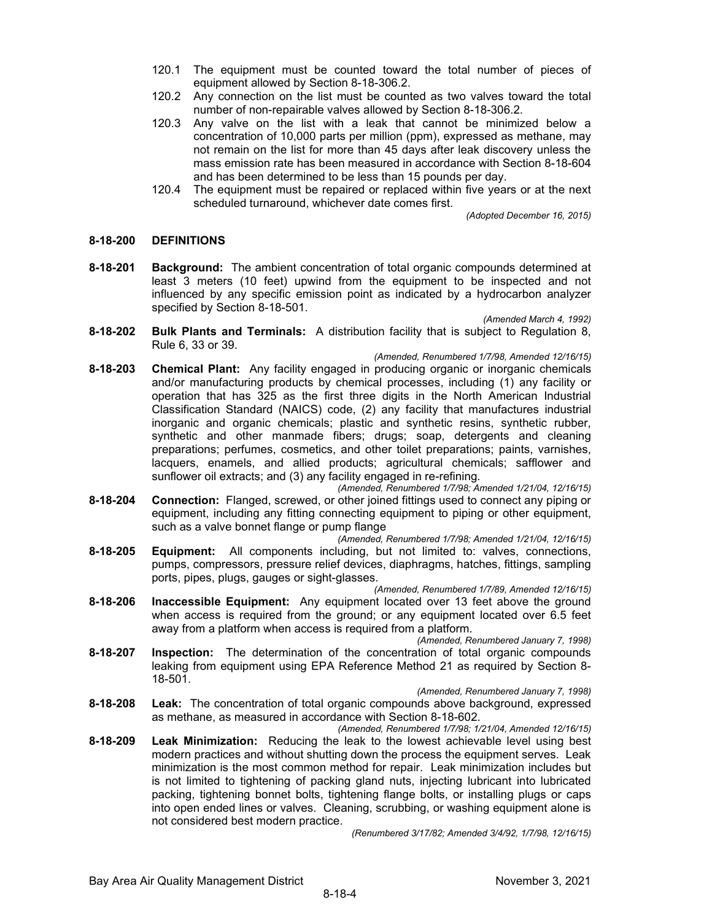- 120.1 The equipment must be counted toward the total number of pieces of equipment allowed by Section 8-18-306.2.
- 120.2 Any connection on the list must be counted as two valves toward the total number of non-repairable valves allowed by Section 8-18-306.2.
- 120.3 Any valve on the list with a leak that cannot be minimized below a concentration of 10,000 parts per million (ppm), expressed as methane, may not remain on the list for more than 45 days after leak discovery unless the mass emission rate has been measured in accordance with Section 8-18-604 and has been determined to be less than 15 pounds per day.
- 120.4 The equipment must be repaired or replaced within five years or at the next scheduled turnaround, whichever date comes first.

*(Adopted December 16, 2015)*

### **8-18-200 DEFINITIONS**

- **8-18-201 Background:** The ambient concentration of total organic compounds determined at least 3 meters (10 feet) upwind from the equipment to be inspected and not influenced by any specific emission point as indicated by a hydrocarbon analyzer specified by Section 8-18-501. *(Amended March 4, 1992)*
- **8-18-202 Bulk Plants and Terminals:** A distribution facility that is subject to Regulation 8, Rule 6, 33 or 39.

#### *(Amended, Renumbered 1/7/98, Amended 12/16/15)*

- **8-18-203 Chemical Plant:** Any facility engaged in producing organic or inorganic chemicals and/or manufacturing products by chemical processes, including (1) any facility or operation that has 325 as the first three digits in the North American Industrial Classification Standard (NAICS) code, (2) any facility that manufactures industrial inorganic and organic chemicals; plastic and synthetic resins, synthetic rubber, synthetic and other manmade fibers; drugs; soap, detergents and cleaning preparations; perfumes, cosmetics, and other toilet preparations; paints, varnishes, lacquers, enamels, and allied products; agricultural chemicals; safflower and sunflower oil extracts; and (3) any facility engaged in re-refining.
- *(Amended, Renumbered 1/7/98; Amended 1/21/04, 12/16/15)* **8-18-204 Connection:** Flanged, screwed, or other joined fittings used to connect any piping or equipment, including any fitting connecting equipment to piping or other equipment, such as a valve bonnet flange or pump flange

*(Amended, Renumbered 1/7/98; Amended 1/21/04, 12/16/15)*

- **8-18-205 Equipment:** All components including, but not limited to: valves, connections, pumps, compressors, pressure relief devices, diaphragms, hatches, fittings, sampling ports, pipes, plugs, gauges or sight-glasses.
	- *(Amended, Renumbered 1/7/89, Amended 12/16/15)*
- **8-18-206 Inaccessible Equipment:** Any equipment located over 13 feet above the ground when access is required from the ground; or any equipment located over 6.5 feet away from a platform when access is required from a platform.

*(Amended, Renumbered January 7, 1998)*

- **8-18-207 Inspection:** The determination of the concentration of total organic compounds leaking from equipment using EPA Reference Method 21 as required by Section 8- 18-501.
- *(Amended, Renumbered January 7, 1998)* **8-18-208 Leak:** The concentration of total organic compounds above background, expressed as methane, as measured in accordance with Section 8-18-602.

*(Amended, Renumbered 1/7/98; 1/21/04, Amended 12/16/15)* **8-18-209 Leak Minimization:** Reducing the leak to the lowest achievable level using best modern practices and without shutting down the process the equipment serves. Leak minimization is the most common method for repair. Leak minimization includes but is not limited to tightening of packing gland nuts, injecting lubricant into lubricated packing, tightening bonnet bolts, tightening flange bolts, or installing plugs or caps into open ended lines or valves. Cleaning, scrubbing, or washing equipment alone is not considered best modern practice.

*(Renumbered 3/17/82; Amended 3/4/92, 1/7/98, 12/16/15)*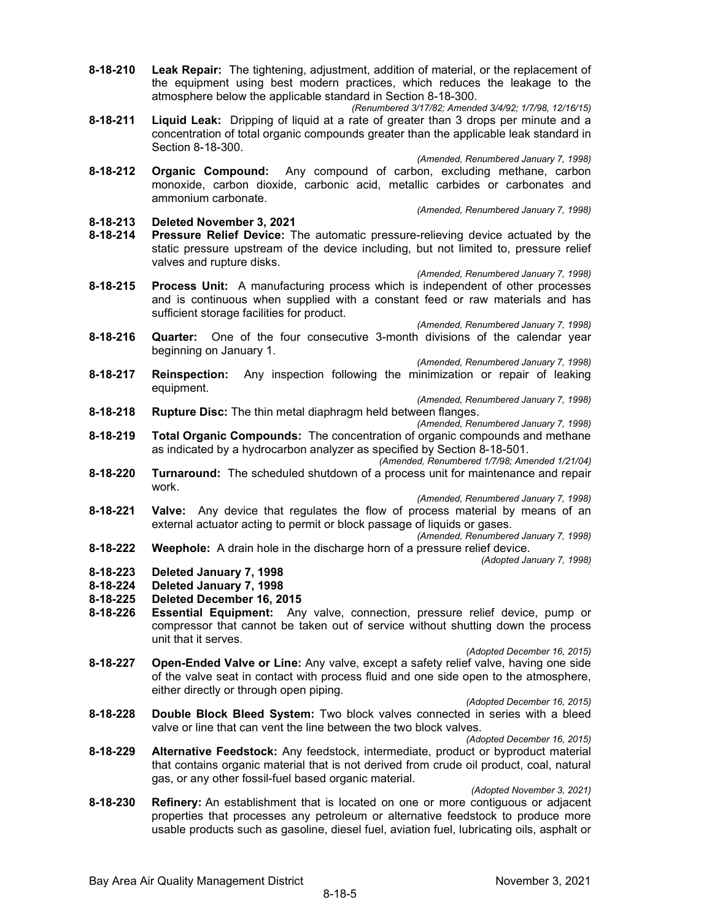- **8-18-210 Leak Repair:** The tightening, adjustment, addition of material, or the replacement of the equipment using best modern practices, which reduces the leakage to the atmosphere below the applicable standard in Section 8-18-300.
	- *(Renumbered 3/17/82; Amended 3/4/92; 1/7/98, 12/16/15)*
- **8-18-211 Liquid Leak:** Dripping of liquid at a rate of greater than 3 drops per minute and a concentration of total organic compounds greater than the applicable leak standard in Section 8-18-300.

*(Amended, Renumbered January 7, 1998)*

**8-18-212 Organic Compound:** Any compound of carbon, excluding methane, carbon monoxide, carbon dioxide, carbonic acid, metallic carbides or carbonates and ammonium carbonate.

*(Amended, Renumbered January 7, 1998)*

- **8-18-213 Deleted November 3, 2021**
- **8-18-214 Pressure Relief Device:** The automatic pressure-relieving device actuated by the static pressure upstream of the device including, but not limited to, pressure relief valves and rupture disks.

*(Amended, Renumbered January 7, 1998)*

**8-18-215 Process Unit:** A manufacturing process which is independent of other processes and is continuous when supplied with a constant feed or raw materials and has sufficient storage facilities for product.

*(Amended, Renumbered January 7, 1998)* **8-18-216 Quarter:** One of the four consecutive 3-month divisions of the calendar year beginning on January 1.

*(Amended, Renumbered January 7, 1998)*

**8-18-217 Reinspection:** Any inspection following the minimization or repair of leaking equipment.

*(Amended, Renumbered January 7, 1998)*

- **8-18-218 Rupture Disc:** The thin metal diaphragm held between flanges.
- *(Amended, Renumbered January 7, 1998)* **8-18-219 Total Organic Compounds:** The concentration of organic compounds and methane as indicated by a hydrocarbon analyzer as specified by Section 8-18-501.

*(Amended, Renumbered 1/7/98; Amended 1/21/04)*

**8-18-220 Turnaround:** The scheduled shutdown of a process unit for maintenance and repair work.

*(Amended, Renumbered January 7, 1998)*

**8-18-221 Valve:** Any device that regulates the flow of process material by means of an external actuator acting to permit or block passage of liquids or gases.

*(Amended, Renumbered January 7, 1998)* **8-18-222 Weephole:** A drain hole in the discharge horn of a pressure relief device.

*(Adopted January 7, 1998)*

- 
- **8-18-223 Deleted January 7, 1998 8-18-224 Deleted January 7, 1998**
- **8-18-225 Deleted December 16, 2015**
- **Essential Equipment:** Any valve, connection, pressure relief device, pump or compressor that cannot be taken out of service without shutting down the process unit that it serves.
- *(Adopted December 16, 2015)* **8-18-227 Open-Ended Valve or Line:** Any valve, except a safety relief valve, having one side of the valve seat in contact with process fluid and one side open to the atmosphere, either directly or through open piping.
	- *(Adopted December 16, 2015)*
- **8-18-228 Double Block Bleed System:** Two block valves connected in series with a bleed valve or line that can vent the line between the two block valves.

*(Adopted December 16, 2015)*

**8-18-229 Alternative Feedstock:** Any feedstock, intermediate, product or byproduct material that contains organic material that is not derived from crude oil product, coal, natural gas, or any other fossil-fuel based organic material.

*(Adopted November 3, 2021)*

**8-18-230 Refinery:** An establishment that is located on one or more contiguous or adjacent properties that processes any petroleum or alternative feedstock to produce more usable products such as gasoline, diesel fuel, aviation fuel, lubricating oils, asphalt or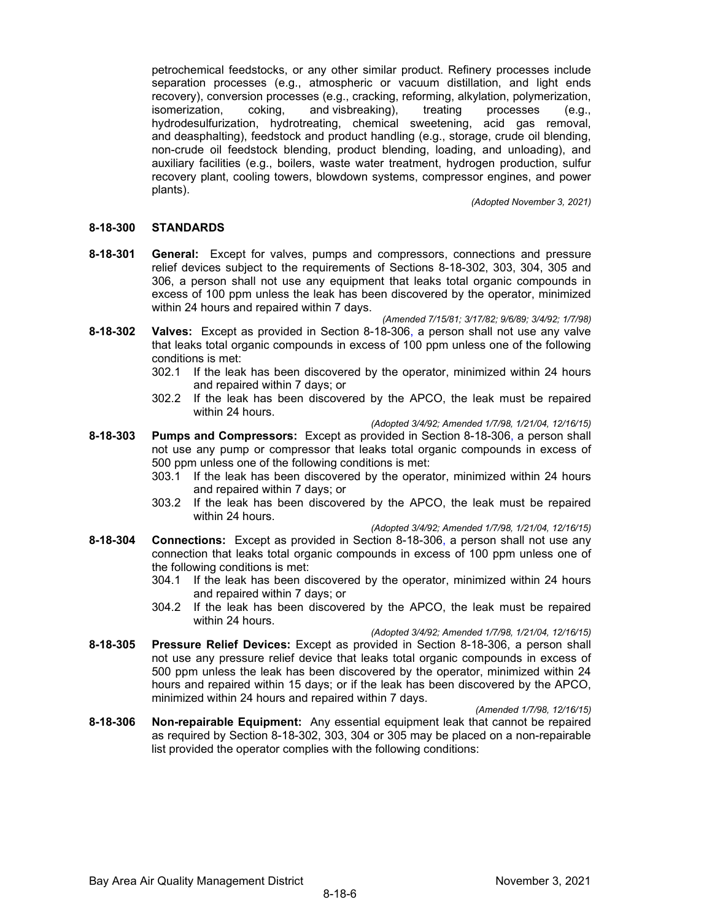petrochemical feedstocks, or any other similar product. Refinery processes include separation processes (e.g., atmospheric or vacuum distillation, and light ends recovery), conversion processes (e.g., cracking, reforming, alkylation, polymerization, isomerization, coking, and visbreaking), treating processes (e.g., hydrodesulfurization, hydrotreating, chemical sweetening, acid gas removal, and deasphalting), feedstock and product handling (e.g., storage, crude oil blending, non-crude oil feedstock blending, product blending, loading, and unloading), and auxiliary facilities (e.g., boilers, waste water treatment, hydrogen production, sulfur recovery plant, cooling towers, blowdown systems, compressor engines, and power plants).

*(Adopted November 3, 2021)*

### **8-18-300 STANDARDS**

**8-18-301 General:** Except for valves, pumps and compressors, connections and pressure relief devices subject to the requirements of Sections 8-18-302, 303, 304, 305 and 306, a person shall not use any equipment that leaks total organic compounds in excess of 100 ppm unless the leak has been discovered by the operator, minimized within 24 hours and repaired within 7 days.

*(Amended 7/15/81; 3/17/82; 9/6/89; 3/4/92; 1/7/98)*

- **8-18-302 Valves:** Except as provided in Section 8-18-306, a person shall not use any valve that leaks total organic compounds in excess of 100 ppm unless one of the following conditions is met:
	- 302.1 If the leak has been discovered by the operator, minimized within 24 hours and repaired within 7 days; or
	- 302.2 If the leak has been discovered by the APCO, the leak must be repaired within 24 hours.

*(Adopted 3/4/92; Amended 1/7/98, 1/21/04, 12/16/15)*

- **8-18-303 Pumps and Compressors:** Except as provided in Section 8-18-306, a person shall not use any pump or compressor that leaks total organic compounds in excess of 500 ppm unless one of the following conditions is met:
	- 303.1 If the leak has been discovered by the operator, minimized within 24 hours and repaired within 7 days; or
	- 303.2 If the leak has been discovered by the APCO, the leak must be repaired within 24 hours.

*(Adopted 3/4/92; Amended 1/7/98, 1/21/04, 12/16/15)*

- **8-18-304 Connections:** Except as provided in Section 8-18-306, a person shall not use any connection that leaks total organic compounds in excess of 100 ppm unless one of the following conditions is met:
	- 304.1 If the leak has been discovered by the operator, minimized within 24 hours and repaired within 7 days; or
	- 304.2 If the leak has been discovered by the APCO, the leak must be repaired within 24 hours.

*(Adopted 3/4/92; Amended 1/7/98, 1/21/04, 12/16/15)*

**8-18-305 Pressure Relief Devices:** Except as provided in Section 8-18-306, a person shall not use any pressure relief device that leaks total organic compounds in excess of 500 ppm unless the leak has been discovered by the operator, minimized within 24 hours and repaired within 15 days; or if the leak has been discovered by the APCO, minimized within 24 hours and repaired within 7 days.

*(Amended 1/7/98, 12/16/15)*

**8-18-306 Non-repairable Equipment:** Any essential equipment leak that cannot be repaired as required by Section 8-18-302, 303, 304 or 305 may be placed on a non-repairable list provided the operator complies with the following conditions: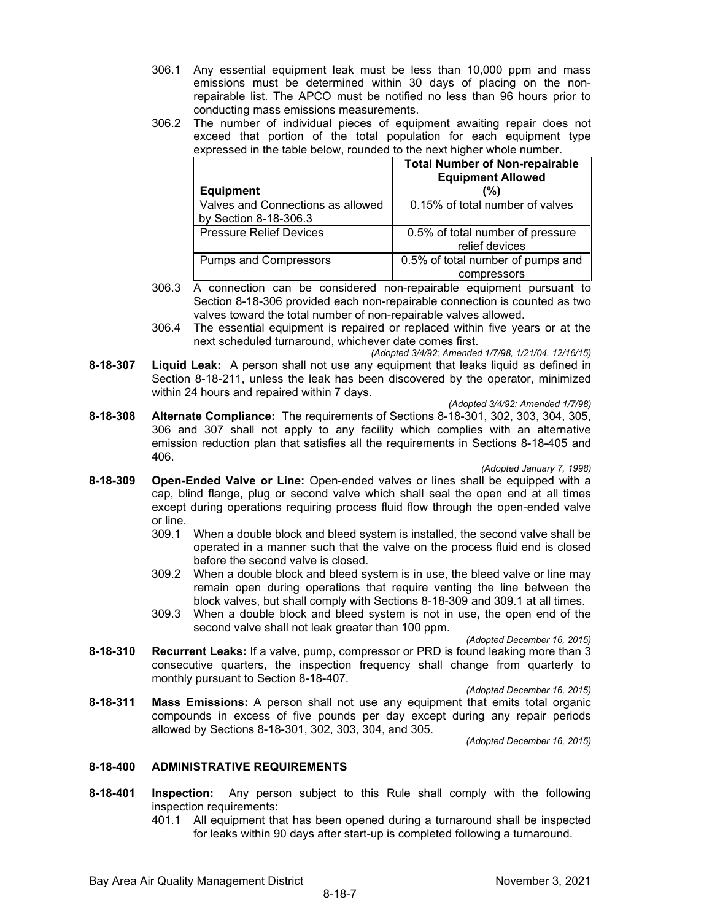- 306.1 Any essential equipment leak must be less than 10,000 ppm and mass emissions must be determined within 30 days of placing on the nonrepairable list. The APCO must be notified no less than 96 hours prior to conducting mass emissions measurements.
- 306.2 The number of individual pieces of equipment awaiting repair does not exceed that portion of the total population for each equipment type expressed in the table below, rounded to the next higher whole number.

|                                                            | <b>Total Number of Non-repairable</b><br><b>Equipment Allowed</b> |
|------------------------------------------------------------|-------------------------------------------------------------------|
| <b>Equipment</b>                                           | (%)                                                               |
| Valves and Connections as allowed<br>by Section 8-18-306.3 | 0.15% of total number of valves                                   |
| <b>Pressure Relief Devices</b>                             | 0.5% of total number of pressure<br>relief devices                |
| <b>Pumps and Compressors</b>                               | 0.5% of total number of pumps and                                 |
|                                                            | compressors                                                       |

- 306.3  $\overline{A}$  connection can be considered non-repairable equipment pursuant to Section 8-18-306 provided each non-repairable connection is counted as two valves toward the total number of non-repairable valves allowed.
- 306.4 The essential equipment is repaired or replaced within five years or at the next scheduled turnaround, whichever date comes first.

*(Adopted 3/4/92; Amended 1/7/98, 1/21/04, 12/16/15)*

**8-18-307 Liquid Leak:** A person shall not use any equipment that leaks liquid as defined in Section 8-18-211, unless the leak has been discovered by the operator, minimized within 24 hours and repaired within 7 days.

*(Adopted 3/4/92; Amended 1/7/98)*

**8-18-308 Alternate Compliance:** The requirements of Sections 8-18-301, 302, 303, 304, 305, 306 and 307 shall not apply to any facility which complies with an alternative emission reduction plan that satisfies all the requirements in Sections 8-18-405 and 406.

*(Adopted January 7, 1998)*

- **8-18-309 Open-Ended Valve or Line:** Open-ended valves or lines shall be equipped with a cap, blind flange, plug or second valve which shall seal the open end at all times except during operations requiring process fluid flow through the open-ended valve or line.
	- 309.1 When a double block and bleed system is installed, the second valve shall be operated in a manner such that the valve on the process fluid end is closed before the second valve is closed.
	- 309.2 When a double block and bleed system is in use, the bleed valve or line may remain open during operations that require venting the line between the block valves, but shall comply with Sections 8-18-309 and 309.1 at all times.
	- 309.3 When a double block and bleed system is not in use, the open end of the second valve shall not leak greater than 100 ppm.

*(Adopted December 16, 2015)*

**8-18-310 Recurrent Leaks:** If a valve, pump, compressor or PRD is found leaking more than 3 consecutive quarters, the inspection frequency shall change from quarterly to monthly pursuant to Section 8-18-407.

*(Adopted December 16, 2015)*

**8-18-311 Mass Emissions:** A person shall not use any equipment that emits total organic compounds in excess of five pounds per day except during any repair periods allowed by Sections 8-18-301, 302, 303, 304, and 305.

*(Adopted December 16, 2015)*

# **8-18-400 ADMINISTRATIVE REQUIREMENTS**

- **8-18-401 Inspection:** Any person subject to this Rule shall comply with the following inspection requirements:
	- 401.1 All equipment that has been opened during a turnaround shall be inspected for leaks within 90 days after start-up is completed following a turnaround.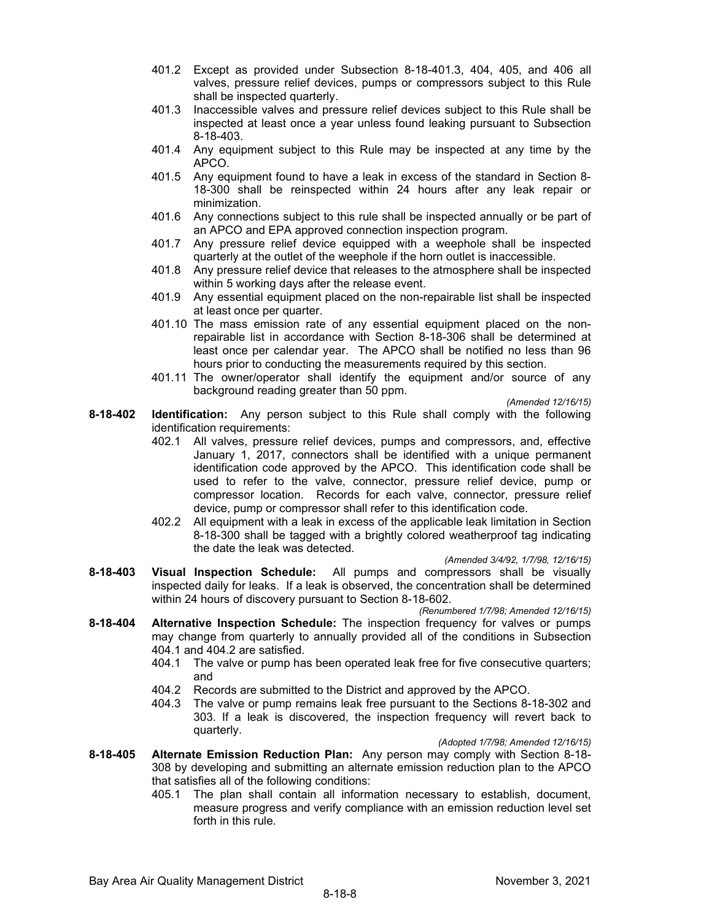- 401.2 Except as provided under Subsection 8-18-401.3, 404, 405, and 406 all valves, pressure relief devices, pumps or compressors subject to this Rule shall be inspected quarterly.
- 401.3 Inaccessible valves and pressure relief devices subject to this Rule shall be inspected at least once a year unless found leaking pursuant to Subsection 8-18-403.
- 401.4 Any equipment subject to this Rule may be inspected at any time by the APCO.
- 401.5 Any equipment found to have a leak in excess of the standard in Section 8- 18-300 shall be reinspected within 24 hours after any leak repair or minimization.
- 401.6 Any connections subject to this rule shall be inspected annually or be part of an APCO and EPA approved connection inspection program.
- 401.7 Any pressure relief device equipped with a weephole shall be inspected quarterly at the outlet of the weephole if the horn outlet is inaccessible.
- 401.8 Any pressure relief device that releases to the atmosphere shall be inspected within 5 working days after the release event.
- 401.9 Any essential equipment placed on the non-repairable list shall be inspected at least once per quarter.
- 401.10 The mass emission rate of any essential equipment placed on the nonrepairable list in accordance with Section 8-18-306 shall be determined at least once per calendar year. The APCO shall be notified no less than 96 hours prior to conducting the measurements required by this section.
- 401.11 The owner/operator shall identify the equipment and/or source of any background reading greater than 50 ppm.

*(Amended 12/16/15)*

- **8-18-402 Identification:** Any person subject to this Rule shall comply with the following identification requirements:
	- 402.1 All valves, pressure relief devices, pumps and compressors, and, effective January 1, 2017, connectors shall be identified with a unique permanent identification code approved by the APCO. This identification code shall be used to refer to the valve, connector, pressure relief device, pump or compressor location. Records for each valve, connector, pressure relief device, pump or compressor shall refer to this identification code.
	- 402.2 All equipment with a leak in excess of the applicable leak limitation in Section 8-18-300 shall be tagged with a brightly colored weatherproof tag indicating the date the leak was detected.

*(Amended 3/4/92, 1/7/98, 12/16/15)*

**8-18-403 Visual Inspection Schedule:** All pumps and compressors shall be visually inspected daily for leaks. If a leak is observed, the concentration shall be determined within 24 hours of discovery pursuant to Section 8-18-602.

*(Renumbered 1/7/98; Amended 12/16/15)*

- **8-18-404 Alternative Inspection Schedule:** The inspection frequency for valves or pumps may change from quarterly to annually provided all of the conditions in Subsection 404.1 and 404.2 are satisfied.
	- 404.1 The valve or pump has been operated leak free for five consecutive quarters; and
	- 404.2 Records are submitted to the District and approved by the APCO.
	- 404.3 The valve or pump remains leak free pursuant to the Sections 8-18-302 and 303. If a leak is discovered, the inspection frequency will revert back to quarterly.

*(Adopted 1/7/98; Amended 12/16/15)*

- **8-18-405 Alternate Emission Reduction Plan:** Any person may comply with Section 8-18- 308 by developing and submitting an alternate emission reduction plan to the APCO that satisfies all of the following conditions:
	- 405.1 The plan shall contain all information necessary to establish, document, measure progress and verify compliance with an emission reduction level set forth in this rule.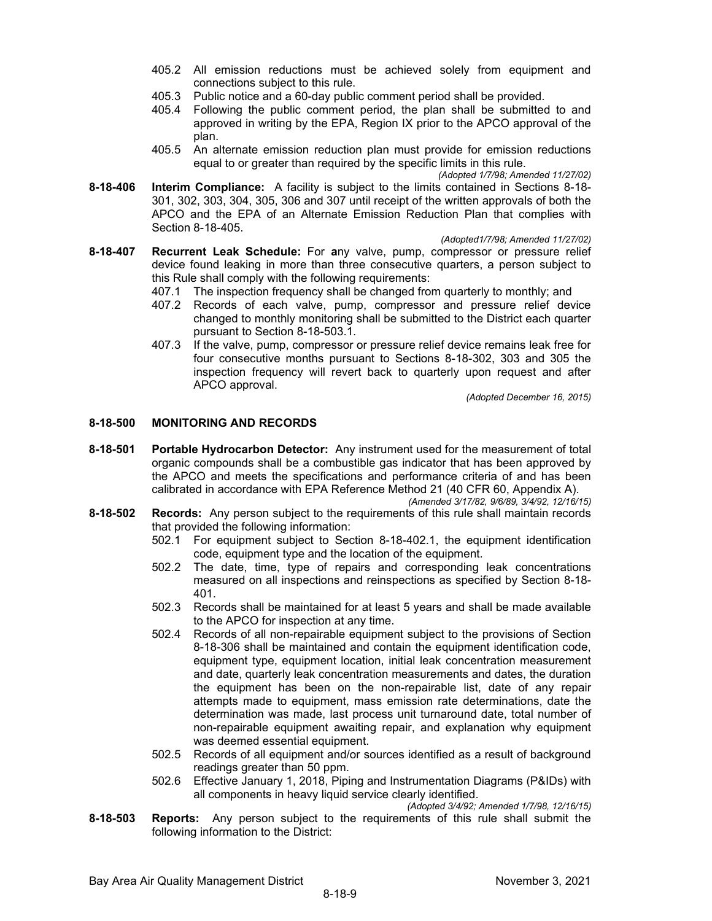- 405.2 All emission reductions must be achieved solely from equipment and connections subject to this rule.
- 405.3 Public notice and a 60-day public comment period shall be provided.
- Following the public comment period, the plan shall be submitted to and approved in writing by the EPA, Region IX prior to the APCO approval of the plan.
- 405.5 An alternate emission reduction plan must provide for emission reductions equal to or greater than required by the specific limits in this rule.

**8-18-406 Interim Compliance:** A facility is subject to the limits contained in Sections 8-18- 301, 302, 303, 304, 305, 306 and 307 until receipt of the written approvals of both the APCO and the EPA of an Alternate Emission Reduction Plan that complies with Section 8-18-405.

*(Adopted1/7/98; Amended 11/27/02)* 

- **8-18-407 Recurrent Leak Schedule:** For **a**ny valve, pump, compressor or pressure relief device found leaking in more than three consecutive quarters, a person subject to this Rule shall comply with the following requirements:
	- 407.1 The inspection frequency shall be changed from quarterly to monthly; and
	- 407.2 Records of each valve, pump, compressor and pressure relief device changed to monthly monitoring shall be submitted to the District each quarter pursuant to Section 8-18-503.1.
	- 407.3 If the valve, pump, compressor or pressure relief device remains leak free for four consecutive months pursuant to Sections 8-18-302, 303 and 305 the inspection frequency will revert back to quarterly upon request and after APCO approval.

*(Adopted December 16, 2015)*

# **8-18-500 MONITORING AND RECORDS**

**8-18-501 Portable Hydrocarbon Detector:** Any instrument used for the measurement of total organic compounds shall be a combustible gas indicator that has been approved by the APCO and meets the specifications and performance criteria of and has been calibrated in accordance with EPA Reference Method 21 (40 CFR 60, Appendix A).

*(Amended 3/17/82, 9/6/89, 3/4/92, 12/16/15)*

- **8-18-502 Records:** Any person subject to the requirements of this rule shall maintain records that provided the following information:
	- 502.1 For equipment subject to Section 8-18-402.1, the equipment identification code, equipment type and the location of the equipment.
	- 502.2 The date, time, type of repairs and corresponding leak concentrations measured on all inspections and reinspections as specified by Section 8-18- 401.
	- 502.3 Records shall be maintained for at least 5 years and shall be made available to the APCO for inspection at any time.
	- 502.4 Records of all non-repairable equipment subject to the provisions of Section 8-18-306 shall be maintained and contain the equipment identification code, equipment type, equipment location, initial leak concentration measurement and date, quarterly leak concentration measurements and dates, the duration the equipment has been on the non-repairable list, date of any repair attempts made to equipment, mass emission rate determinations, date the determination was made, last process unit turnaround date, total number of non-repairable equipment awaiting repair, and explanation why equipment was deemed essential equipment.
	- 502.5 Records of all equipment and/or sources identified as a result of background readings greater than 50 ppm.
	- 502.6 Effective January 1, 2018, Piping and Instrumentation Diagrams (P&IDs) with all components in heavy liquid service clearly identified.

*(Adopted 3/4/92; Amended 1/7/98, 12/16/15)*

**8-18-503 Reports:** Any person subject to the requirements of this rule shall submit the following information to the District:

*<sup>(</sup>Adopted 1/7/98; Amended 11/27/02)*